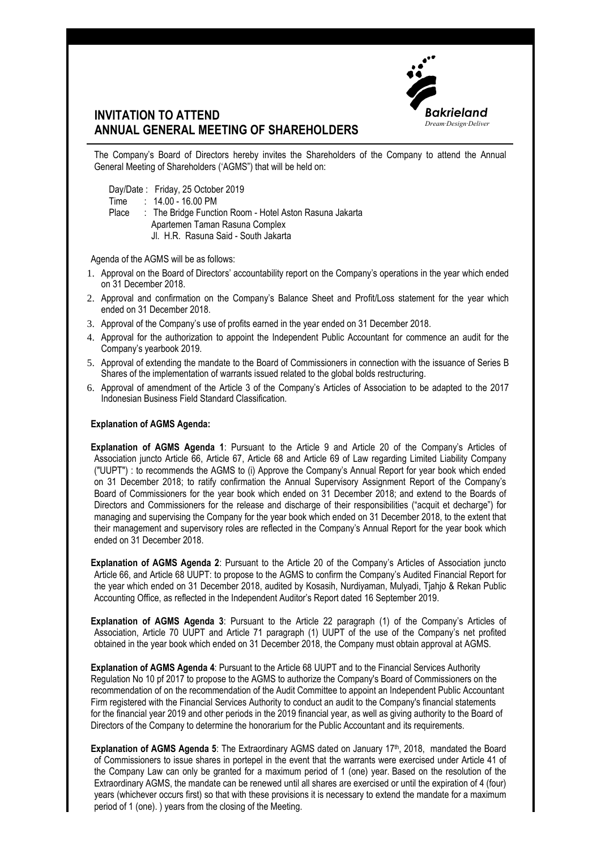

## **INVITATION TO ATTEND ANNUAL GENERAL MEETING OF SHAREHOLDERS**

The Company's Board of Directors hereby invites the Shareholders of the Company to attend the Annual General Meeting of Shareholders ('AGMS") that will be held on:

Day/Date : Friday, 25 October 2019

Time : 14.00 - 16.00 PM

- Place : The Bridge Function Room Hotel Aston Rasuna Jakarta Apartemen Taman Rasuna Complex
	- Jl. H.R. Rasuna Said South Jakarta

Agenda of the AGMS will be as follows:

- 1. Approval on the Board of Directors' accountability report on the Company's operations in the year which ended on 31 December 2018.
- 2. Approval and confirmation on the Company's Balance Sheet and Profit/Loss statement for the year which ended on 31 December 2018.
- 3. Approval of the Company's use of profits earned in the year ended on 31 December 2018.
- 4. Approval for the authorization to appoint the Independent Public Accountant for commence an audit for the Company's yearbook 2019.
- 5. Approval of extending the mandate to the Board of Commissioners in connection with the issuance of Series B Shares of the implementation of warrants issued related to the global bolds restructuring.
- 6. Approval of amendment of the Article 3 of the Company's Articles of Association to be adapted to the 2017 Indonesian Business Field Standard Classification.

## **Explanation of AGMS Agenda:**

**Explanation of AGMS Agenda 1**: Pursuant to the Article 9 and Article 20 of the Company's Articles of Association juncto Article 66, Article 67, Article 68 and Article 69 of Law regarding Limited Liability Company ("UUPT") : to recommends the AGMS to (i) Approve the Company's Annual Report for year book which ended on 31 December 2018; to ratify confirmation the Annual Supervisory Assignment Report of the Company's Board of Commissioners for the year book which ended on 31 December 2018; and extend to the Boards of Directors and Commissioners for the release and discharge of their responsibilities ("acquit et decharge") for managing and supervising the Company for the year book which ended on 31 December 2018, to the extent that their management and supervisory roles are reflected in the Company's Annual Report for the year book which ended on 31 December 2018.

**Explanation of AGMS Agenda 2**: Pursuant to the Article 20 of the Company's Articles of Association juncto Article 66, and Article 68 UUPT: to propose to the AGMS to confirm the Company's Audited Financial Report for the year which ended on 31 December 2018, audited by Kosasih, Nurdiyaman, Mulyadi, Tjahjo & Rekan Public Accounting Office, as reflected in the Independent Auditor's Report dated 16 September 2019.

**Explanation of AGMS Agenda 3**: Pursuant to the Article 22 paragraph (1) of the Company's Articles of Association, Article 70 UUPT and Article 71 paragraph (1) UUPT of the use of the Company's net profited obtained in the year book which ended on 31 December 2018, the Company must obtain approval at AGMS.

**Explanation of AGMS Agenda 4**: Pursuant to the Article 68 UUPT and to the Financial Services Authority Regulation No 10 pf 2017 to propose to the AGMS to authorize the Company's Board of Commissioners on the recommendation of on the recommendation of the Audit Committee to appoint an Independent Public Accountant Firm registered with the Financial Services Authority to conduct an audit to the Company's financial statements for the financial year 2019 and other periods in the 2019 financial year, as well as giving authority to the Board of Directors of the Company to determine the honorarium for the Public Accountant and its requirements.

**Explanation of AGMS Agenda 5:** The Extraordinary AGMS dated on January 17th, 2018, mandated the Board of Commissioners to issue shares in portepel in the event that the warrants were exercised under Article 41 of the Company Law can only be granted for a maximum period of 1 (one) year. Based on the resolution of the Extraordinary AGMS, the mandate can be renewed until all shares are exercised or until the expiration of 4 (four) years (whichever occurs first) so that with these provisions it is necessary to extend the mandate for a maximum period of 1 (one). ) years from the closing of the Meeting.